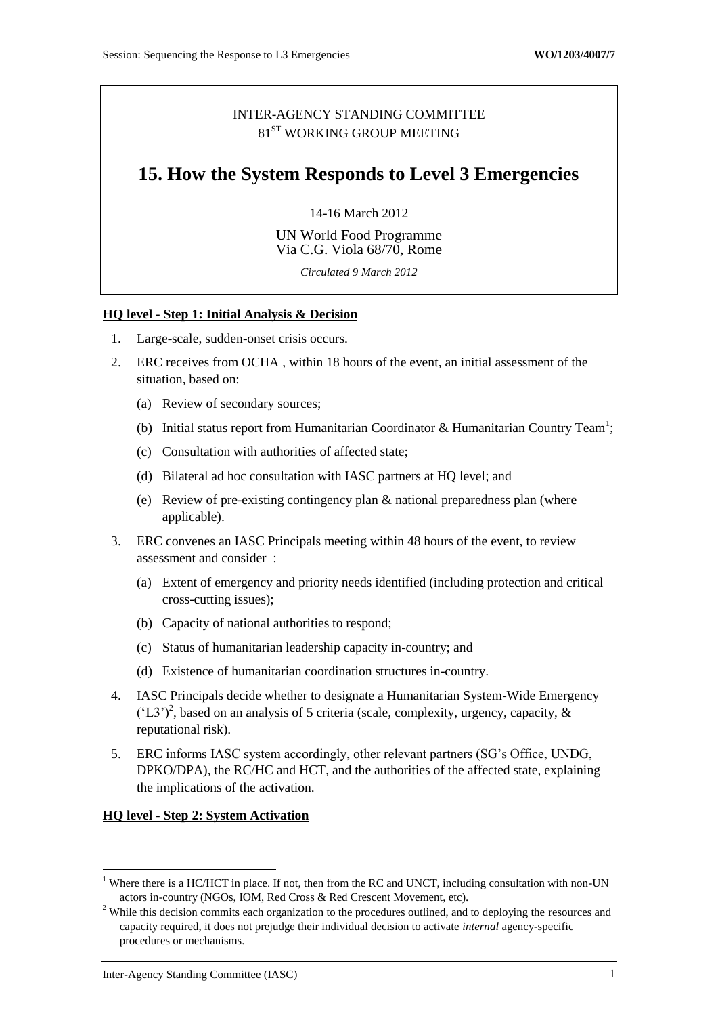## INTER-AGENCY STANDING COMMITTEE 81<sup>ST</sup> WORKING GROUP MEETING

# **15. How the System Responds to Level 3 Emergencies**

14-16 March 2012

UN World Food Programme Via C.G. Viola 68/70, Rome

*Circulated 9 March 2012*

### **HQ level - Step 1: Initial Analysis & Decision**

- 1. Large-scale, sudden-onset crisis occurs.
- 2. ERC receives from OCHA , within 18 hours of the event, an initial assessment of the situation, based on:
	- (a) Review of secondary sources;
	- (b) Initial status report from Humanitarian Coordinator & Humanitarian Country Team<sup>1</sup>;
	- (c) Consultation with authorities of affected state;
	- (d) Bilateral ad hoc consultation with IASC partners at HQ level; and
	- (e) Review of pre-existing contingency plan & national preparedness plan (where applicable).
- 3. ERC convenes an IASC Principals meeting within 48 hours of the event, to review assessment and consider :
	- (a) Extent of emergency and priority needs identified (including protection and critical cross-cutting issues);
	- (b) Capacity of national authorities to respond;
	- (c) Status of humanitarian leadership capacity in-country; and
	- (d) Existence of humanitarian coordination structures in-country.
- 4. IASC Principals decide whether to designate a Humanitarian System-Wide Emergency  $(L3')^2$ , based on an analysis of 5 criteria (scale, complexity, urgency, capacity, & reputational risk).
- 5. ERC informs IASC system accordingly, other relevant partners (SG's Office, UNDG, DPKO/DPA), the RC/HC and HCT, and the authorities of the affected state, explaining the implications of the activation.

#### **HQ level - Step 2: System Activation**

 $1$  Where there is a HC/HCT in place. If not, then from the RC and UNCT, including consultation with non-UN actors in-country (NGOs, IOM, Red Cross & Red Crescent Movement, etc).

<sup>&</sup>lt;sup>2</sup> While this decision commits each organization to the procedures outlined, and to deploying the resources and capacity required, it does not prejudge their individual decision to activate *internal* agency-specific procedures or mechanisms.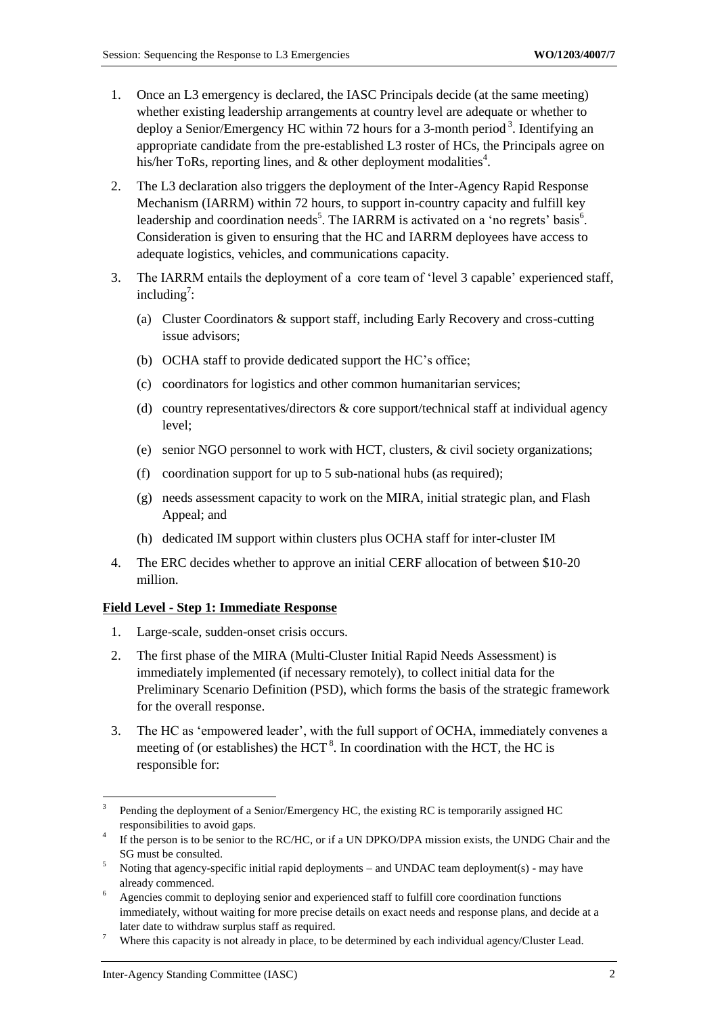- 1. Once an L3 emergency is declared, the IASC Principals decide (at the same meeting) whether existing leadership arrangements at country level are adequate or whether to deploy a Senior/Emergency HC within 72 hours for a 3-month period<sup>3</sup>. Identifying an appropriate candidate from the pre-established L3 roster of HCs, the Principals agree on his/her ToRs, reporting lines, and  $\&$  other deployment modalities<sup>4</sup>.
- 2. The L3 declaration also triggers the deployment of the Inter-Agency Rapid Response Mechanism (IARRM) within 72 hours, to support in-country capacity and fulfill key leadership and coordination needs<sup>5</sup>. The IARRM is activated on a 'no regrets' basis<sup>6</sup>. Consideration is given to ensuring that the HC and IARRM deployees have access to adequate logistics, vehicles, and communications capacity.
- 3. The IARRM entails the deployment of a core team of 'level 3 capable' experienced staff, including<sup>7</sup>:
	- (a) Cluster Coordinators & support staff, including Early Recovery and cross-cutting issue advisors;
	- (b) OCHA staff to provide dedicated support the HC's office;
	- (c) coordinators for logistics and other common humanitarian services;
	- (d) country representatives/directors & core support/technical staff at individual agency level;
	- (e) senior NGO personnel to work with HCT, clusters, & civil society organizations;
	- (f) coordination support for up to 5 sub-national hubs (as required);
	- (g) needs assessment capacity to work on the MIRA, initial strategic plan, and Flash Appeal; and
	- (h) dedicated IM support within clusters plus OCHA staff for inter-cluster IM
- 4. The ERC decides whether to approve an initial CERF allocation of between \$10-20 million.

#### **Field Level - Step 1: Immediate Response**

- 1. Large-scale, sudden-onset crisis occurs.
- 2. The first phase of the MIRA (Multi-Cluster Initial Rapid Needs Assessment) is immediately implemented (if necessary remotely), to collect initial data for the Preliminary Scenario Definition (PSD), which forms the basis of the strategic framework for the overall response.
- 3. The HC as 'empowered leader', with the full support of OCHA, immediately convenes a meeting of (or establishes) the HCT<sup>8</sup>. In coordination with the HCT, the HC is responsible for:

<sup>3</sup> Pending the deployment of a Senior/Emergency HC, the existing RC is temporarily assigned HC responsibilities to avoid gaps.

<sup>&</sup>lt;sup>4</sup> If the person is to be senior to the RC/HC, or if a UN DPKO/DPA mission exists, the UNDG Chair and the SG must be consulted.

 $5$  Noting that agency-specific initial rapid deployments – and UNDAC team deployment(s) - may have already commenced.

<sup>&</sup>lt;sup>6</sup> Agencies commit to deploying senior and experienced staff to fulfill core coordination functions immediately, without waiting for more precise details on exact needs and response plans, and decide at a later date to withdraw surplus staff as required.

<sup>&</sup>lt;sup>7</sup> Where this capacity is not already in place, to be determined by each individual agency/Cluster Lead.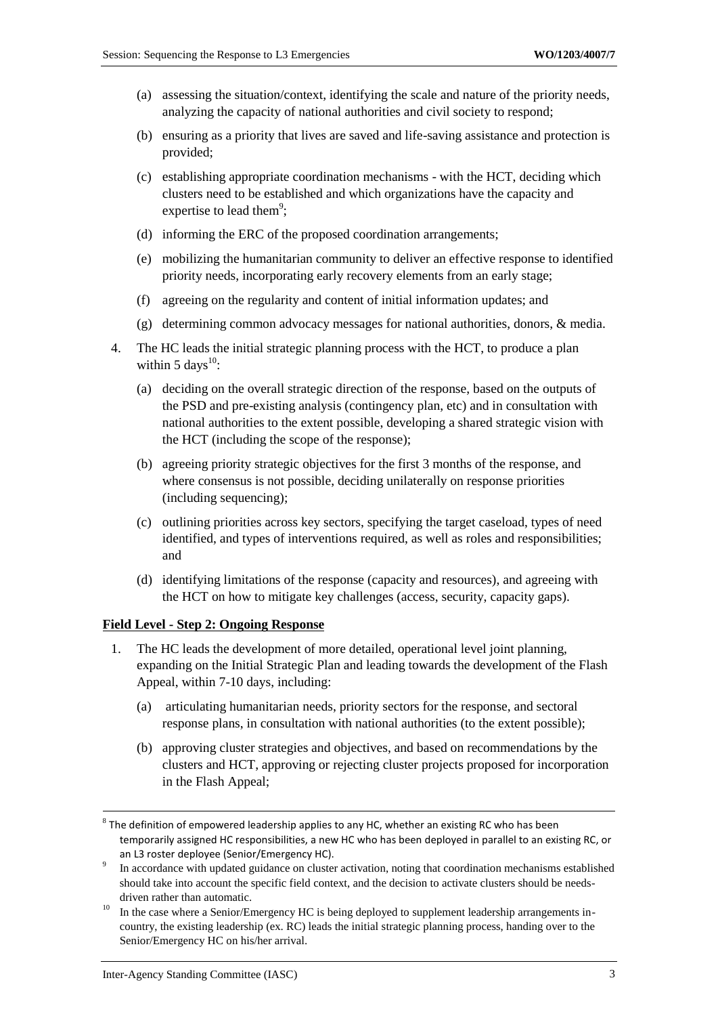- (a) assessing the situation/context, identifying the scale and nature of the priority needs, analyzing the capacity of national authorities and civil society to respond;
- (b) ensuring as a priority that lives are saved and life-saving assistance and protection is provided;
- (c) establishing appropriate coordination mechanisms with the HCT, deciding which clusters need to be established and which organizations have the capacity and expertise to lead them<sup>9</sup>;
- (d) informing the ERC of the proposed coordination arrangements;
- (e) mobilizing the humanitarian community to deliver an effective response to identified priority needs, incorporating early recovery elements from an early stage;
- (f) agreeing on the regularity and content of initial information updates; and
- (g) determining common advocacy messages for national authorities, donors, & media.
- 4. The HC leads the initial strategic planning process with the HCT, to produce a plan within 5 days $^{10}$ :
	- (a) deciding on the overall strategic direction of the response, based on the outputs of the PSD and pre-existing analysis (contingency plan, etc) and in consultation with national authorities to the extent possible, developing a shared strategic vision with the HCT (including the scope of the response);
	- (b) agreeing priority strategic objectives for the first 3 months of the response, and where consensus is not possible, deciding unilaterally on response priorities (including sequencing);
	- (c) outlining priorities across key sectors, specifying the target caseload, types of need identified, and types of interventions required, as well as roles and responsibilities; and
	- (d) identifying limitations of the response (capacity and resources), and agreeing with the HCT on how to mitigate key challenges (access, security, capacity gaps).

#### **Field Level - Step 2: Ongoing Response**

- 1. The HC leads the development of more detailed, operational level joint planning, expanding on the Initial Strategic Plan and leading towards the development of the Flash Appeal, within 7-10 days, including:
	- (a) articulating humanitarian needs, priority sectors for the response, and sectoral response plans, in consultation with national authorities (to the extent possible);
	- (b) approving cluster strategies and objectives, and based on recommendations by the clusters and HCT, approving or rejecting cluster projects proposed for incorporation in the Flash Appeal;

 $^8$  The definition of empowered leadership applies to any HC, whether an existing RC who has been temporarily assigned HC responsibilities, a new HC who has been deployed in parallel to an existing RC, or an L3 roster deployee (Senior/Emergency HC).

<sup>9</sup> In accordance with updated guidance on cluster activation, noting that coordination mechanisms established should take into account the specific field context, and the decision to activate clusters should be needsdriven rather than automatic.

<sup>&</sup>lt;sup>10</sup> In the case where a Senior/Emergency HC is being deployed to supplement leadership arrangements incountry, the existing leadership (ex. RC) leads the initial strategic planning process, handing over to the Senior/Emergency HC on his/her arrival.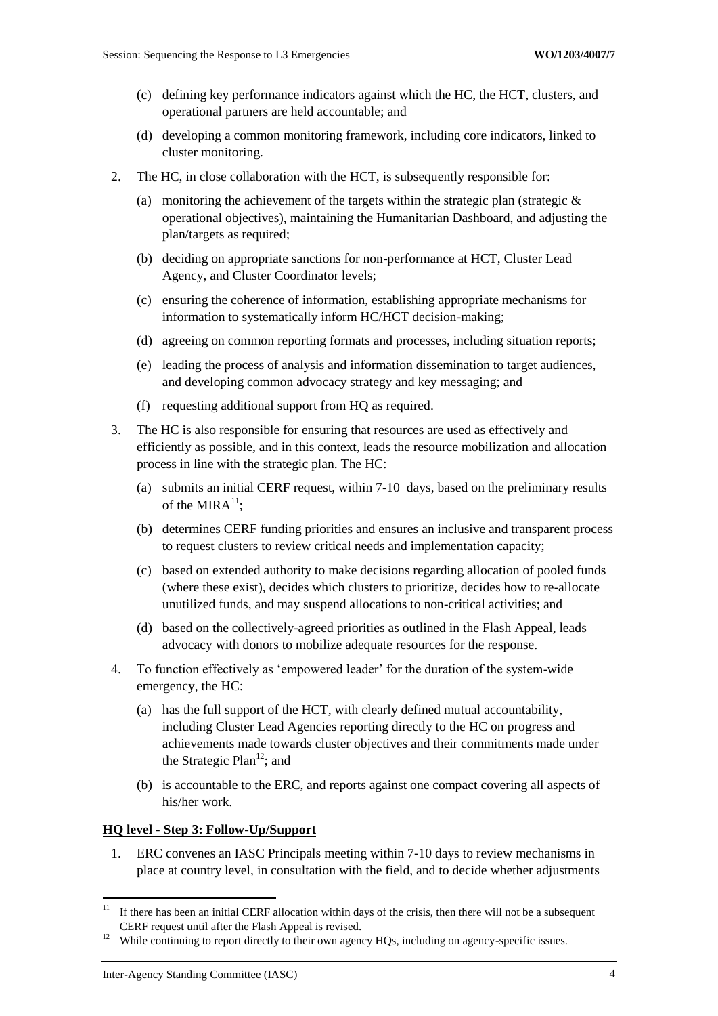- (c) defining key performance indicators against which the HC, the HCT, clusters, and operational partners are held accountable; and
- (d) developing a common monitoring framework, including core indicators, linked to cluster monitoring.
- 2. The HC, in close collaboration with the HCT, is subsequently responsible for:
	- (a) monitoring the achievement of the targets within the strategic plan (strategic  $\&$ operational objectives), maintaining the Humanitarian Dashboard, and adjusting the plan/targets as required;
	- (b) deciding on appropriate sanctions for non-performance at HCT, Cluster Lead Agency, and Cluster Coordinator levels;
	- (c) ensuring the coherence of information, establishing appropriate mechanisms for information to systematically inform HC/HCT decision-making;
	- (d) agreeing on common reporting formats and processes, including situation reports;
	- (e) leading the process of analysis and information dissemination to target audiences, and developing common advocacy strategy and key messaging; and
	- (f) requesting additional support from HQ as required.
- 3. The HC is also responsible for ensuring that resources are used as effectively and efficiently as possible, and in this context, leads the resource mobilization and allocation process in line with the strategic plan. The HC:
	- (a) submits an initial CERF request, within 7-10 days, based on the preliminary results of the MIRA $^{11}$ :
	- (b) determines CERF funding priorities and ensures an inclusive and transparent process to request clusters to review critical needs and implementation capacity;
	- (c) based on extended authority to make decisions regarding allocation of pooled funds (where these exist), decides which clusters to prioritize, decides how to re-allocate unutilized funds, and may suspend allocations to non-critical activities; and
	- (d) based on the collectively-agreed priorities as outlined in the Flash Appeal, leads advocacy with donors to mobilize adequate resources for the response.
- 4. To function effectively as 'empowered leader' for the duration of the system-wide emergency, the HC:
	- (a) has the full support of the HCT, with clearly defined mutual accountability, including Cluster Lead Agencies reporting directly to the HC on progress and achievements made towards cluster objectives and their commitments made under the Strategic Plan<sup>12</sup>; and
	- (b) is accountable to the ERC, and reports against one compact covering all aspects of his/her work.

#### **HQ level - Step 3: Follow-Up/Support**

1. ERC convenes an IASC Principals meeting within 7-10 days to review mechanisms in place at country level, in consultation with the field, and to decide whether adjustments

 $11$  If there has been an initial CERF allocation within days of the crisis, then there will not be a subsequent CERF request until after the Flash Appeal is revised.

<sup>&</sup>lt;sup>12</sup> While continuing to report directly to their own agency HQs, including on agency-specific issues.